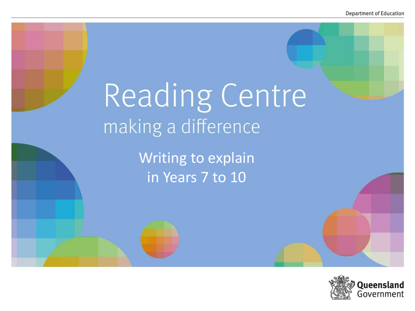# Reading Centre making a difference

Writing to explain in Years 7 to 10

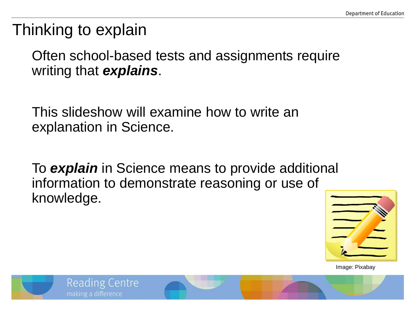## Thinking to explain

Often school-based tests and assignments require writing that *explains*.

This slideshow will examine how to write an explanation in Science.

To *explain* in Science means to provide additional information to demonstrate reasoning or use of knowledge.



Image: Pixabay

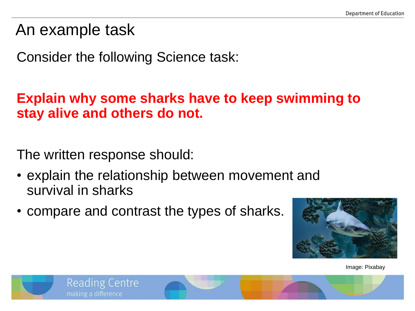### An example task

Consider the following Science task:

#### **Explain why some sharks have to keep swimming to stay alive and others do not.**

The written response should:

- explain the relationship between movement and survival in sharks
- compare and contrast the types of sharks.



Image: Pixabay

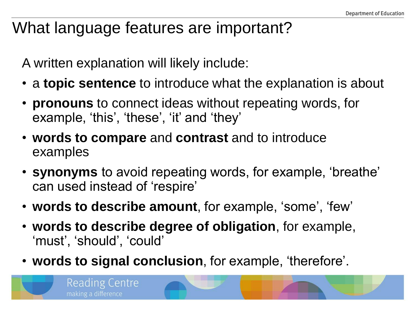## What language features are important?

A written explanation will likely include:

- a **topic sentence** to introduce what the explanation is about
- **pronouns** to connect ideas without repeating words, for example, 'this', 'these', 'it' and 'they'
- **words to compare** and **contrast** and to introduce examples
- **synonyms** to avoid repeating words, for example, 'breathe' can used instead of 'respire'
- **words to describe amount**, for example, 'some', 'few'
- **words to describe degree of obligation**, for example, 'must', 'should', 'could'
- **words to signal conclusion**, for example, 'therefore'.